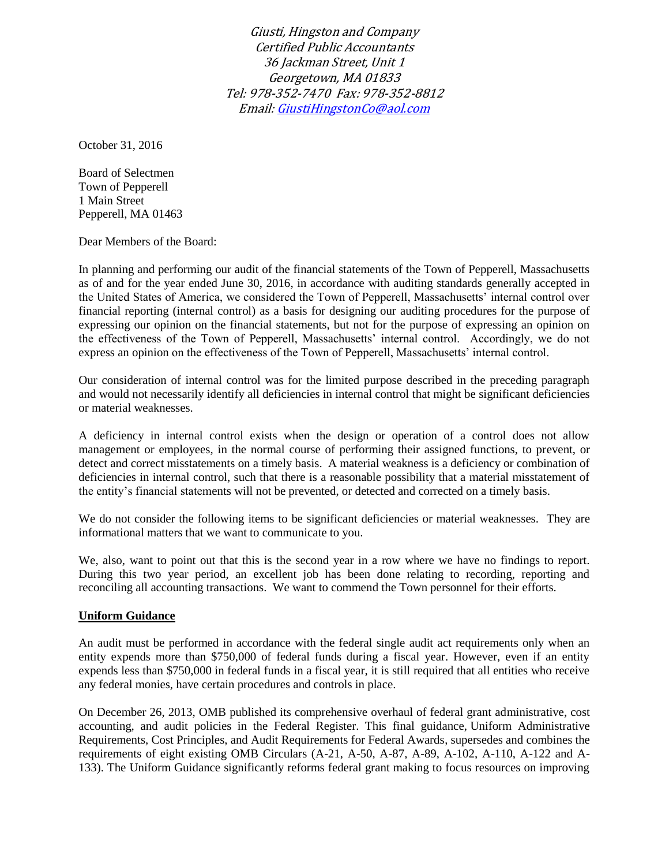Giusti, Hingston and Company Certified Public Accountants 36 Jackman Street, Unit 1 Georgetown, MA 01833 Tel: 978-352-7470 Fax: 978-352-8812 Email[: GiustiHingstonCo@aol.com](mailto:GiustiHingstonCo@aol.com)

October 31, 2016

Board of Selectmen Town of Pepperell 1 Main Street Pepperell, MA 01463

Dear Members of the Board:

In planning and performing our audit of the financial statements of the Town of Pepperell, Massachusetts as of and for the year ended June 30, 2016, in accordance with auditing standards generally accepted in the United States of America, we considered the Town of Pepperell, Massachusetts' internal control over financial reporting (internal control) as a basis for designing our auditing procedures for the purpose of expressing our opinion on the financial statements, but not for the purpose of expressing an opinion on the effectiveness of the Town of Pepperell, Massachusetts' internal control. Accordingly, we do not express an opinion on the effectiveness of the Town of Pepperell, Massachusetts' internal control.

Our consideration of internal control was for the limited purpose described in the preceding paragraph and would not necessarily identify all deficiencies in internal control that might be significant deficiencies or material weaknesses.

A deficiency in internal control exists when the design or operation of a control does not allow management or employees, in the normal course of performing their assigned functions, to prevent, or detect and correct misstatements on a timely basis. A material weakness is a deficiency or combination of deficiencies in internal control, such that there is a reasonable possibility that a material misstatement of the entity's financial statements will not be prevented, or detected and corrected on a timely basis.

We do not consider the following items to be significant deficiencies or material weaknesses. They are informational matters that we want to communicate to you.

We, also, want to point out that this is the second year in a row where we have no findings to report. During this two year period, an excellent job has been done relating to recording, reporting and reconciling all accounting transactions. We want to commend the Town personnel for their efforts.

## **Uniform Guidance**

An audit must be performed in accordance with the federal single audit act requirements only when an entity expends more than \$750,000 of federal funds during a fiscal year. However, even if an entity expends less than \$750,000 in federal funds in a fiscal year, it is still required that all entities who receive any federal monies, have certain procedures and controls in place.

On December 26, 2013, OMB published its comprehensive overhaul of federal grant administrative, cost accounting, and audit policies in the Federal Register. This final guidance, [Uniform Administrative](https://www.federalregister.gov/articles/2013/12/26/2013-30465/uniform-administrative-requirements-cost-principles-and-audit-requirements-for-federal-awards)  [Requirements, Cost Principles, and Audit Requirements for Federal Awards,](https://www.federalregister.gov/articles/2013/12/26/2013-30465/uniform-administrative-requirements-cost-principles-and-audit-requirements-for-federal-awards) supersedes and combines the requirements of eight existing OMB Circulars (A-21, A-50, A-87, A-89, A-102, A-110, A-122 and A-133). The Uniform Guidance significantly reforms federal grant making to focus resources on improving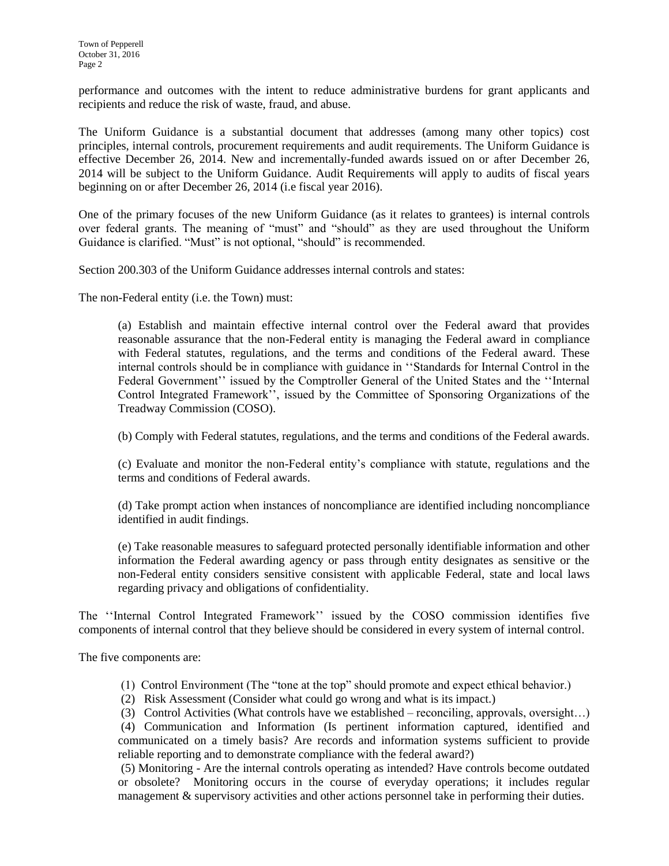performance and outcomes with the intent to reduce administrative burdens for grant applicants and recipients and reduce the risk of waste, fraud, and abuse.

The Uniform Guidance is a substantial document that addresses (among many other topics) cost principles, internal controls, procurement requirements and audit requirements. The Uniform Guidance is effective December 26, 2014. New and incrementally-funded awards issued on or after December 26, 2014 will be subject to the Uniform Guidance. Audit Requirements will apply to audits of fiscal years beginning on or after December 26, 2014 (i.e fiscal year 2016).

One of the primary focuses of the new Uniform Guidance (as it relates to grantees) is internal controls over federal grants. The meaning of "must" and "should" as they are used throughout the Uniform Guidance is clarified. "Must" is not optional, "should" is recommended.

Section 200.303 of the Uniform Guidance addresses internal controls and states:

The non-Federal entity (i.e. the Town) must:

(a) Establish and maintain effective internal control over the Federal award that provides reasonable assurance that the non-Federal entity is managing the Federal award in compliance with Federal statutes, regulations, and the terms and conditions of the Federal award. These internal controls should be in compliance with guidance in ''Standards for Internal Control in the Federal Government'' issued by the Comptroller General of the United States and the ''Internal Control Integrated Framework'', issued by the Committee of Sponsoring Organizations of the Treadway Commission (COSO).

(b) Comply with Federal statutes, regulations, and the terms and conditions of the Federal awards.

(c) Evaluate and monitor the non-Federal entity's compliance with statute, regulations and the terms and conditions of Federal awards.

(d) Take prompt action when instances of noncompliance are identified including noncompliance identified in audit findings.

(e) Take reasonable measures to safeguard protected personally identifiable information and other information the Federal awarding agency or pass through entity designates as sensitive or the non-Federal entity considers sensitive consistent with applicable Federal, state and local laws regarding privacy and obligations of confidentiality.

The ''Internal Control Integrated Framework'' issued by the COSO commission identifies five components of internal control that they believe should be considered in every system of internal control.

The five components are:

- (1) Control Environment (The "tone at the top" should promote and expect ethical behavior.)
- (2) Risk Assessment (Consider what could go wrong and what is its impact.)
- (3) Control Activities (What controls have we established reconciling, approvals, oversight…)

(4) Communication and Information (Is pertinent information captured, identified and communicated on a timely basis? Are records and information systems sufficient to provide reliable reporting and to demonstrate compliance with the federal award?)

(5) Monitoring - Are the internal controls operating as intended? Have controls become outdated or obsolete? Monitoring occurs in the course of everyday operations; it includes regular management & supervisory activities and other actions personnel take in performing their duties.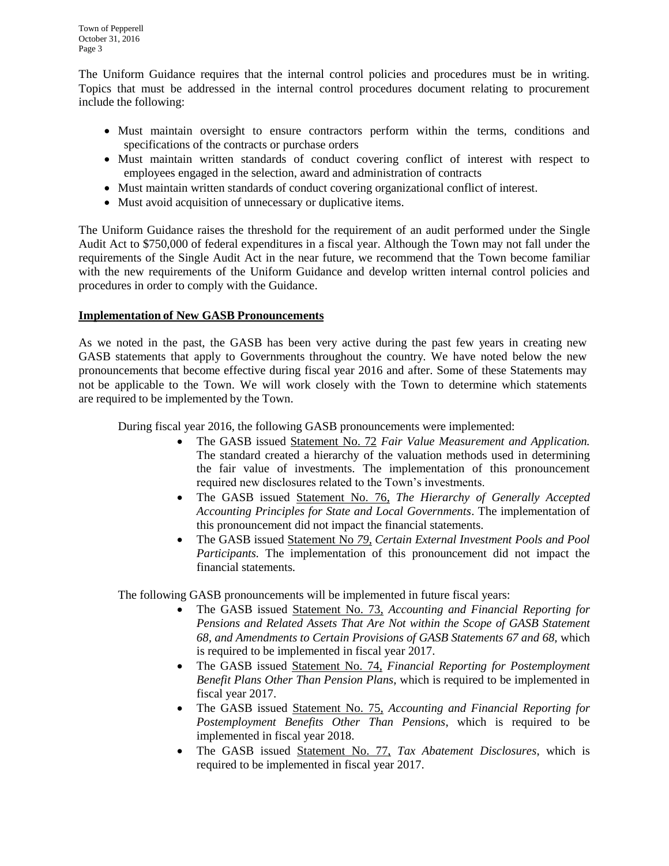The Uniform Guidance requires that the internal control policies and procedures must be in writing. Topics that must be addressed in the internal control procedures document relating to procurement include the following:

- Must maintain oversight to ensure contractors perform within the terms, conditions and specifications of the contracts or purchase orders
- Must maintain written standards of conduct covering conflict of interest with respect to employees engaged in the selection, award and administration of contracts
- Must maintain written standards of conduct covering organizational conflict of interest.
- Must avoid acquisition of unnecessary or duplicative items.

The Uniform Guidance raises the threshold for the requirement of an audit performed under the Single Audit Act to \$750,000 of federal expenditures in a fiscal year. Although the Town may not fall under the requirements of the Single Audit Act in the near future, we recommend that the Town become familiar with the new requirements of the Uniform Guidance and develop written internal control policies and procedures in order to comply with the Guidance.

## **Implementation of New GASB Pronouncements**

As we noted in the past, the GASB has been very active during the past few years in creating new GASB statements that apply to Governments throughout the country. We have noted below the new pronouncements that become effective during fiscal year 2016 and after. Some of these Statements may not be applicable to the Town. We will work closely with the Town to determine which statements are required to be implemented by the Town.

During fiscal year 2016, the following GASB pronouncements were implemented:

- The GASB issued Statement No. 72 *Fair Value Measurement and Application.*  The standard created a hierarchy of the valuation methods used in determining the fair value of investments. The implementation of this pronouncement required new disclosures related to the Town's investments.
- The GASB issued Statement No. 76, *The Hierarchy of Generally Accepted Accounting Principles for State and Local Governments*. The implementation of this pronouncement did not impact the financial statements.
- The GASB issued Statement No *79, Certain External Investment Pools and Pool Participants.* The implementation of this pronouncement did not impact the financial statements.

The following GASB pronouncements will be implemented in future fiscal years:

- The GASB issued Statement No. 73, *Accounting and Financial Reporting for Pensions and Related Assets That Are Not within the Scope of GASB Statement 68, and Amendments to Certain Provisions of GASB Statements 67 and 68,* which is required to be implemented in fiscal year 2017.
- The GASB issued Statement No. 74, *Financial Reporting for Postemployment Benefit Plans Other Than Pension Plans*, which is required to be implemented in fiscal year 2017.
- The GASB issued Statement No. 75, *Accounting and Financial Reporting for Postemployment Benefits Other Than Pensions*, which is required to be implemented in fiscal year 2018.
- The GASB issued Statement No. 77, *Tax Abatement Disclosures*, which is required to be implemented in fiscal year 2017.